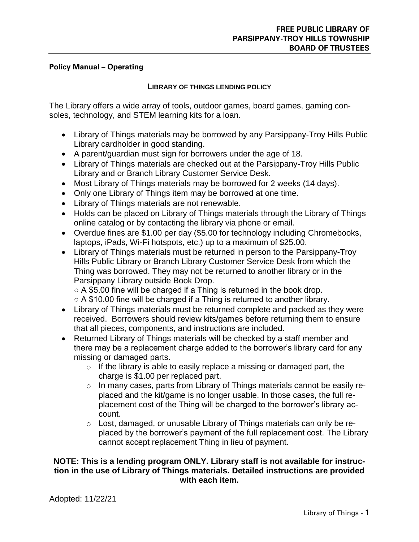### **Policy Manual – Operating**

## **LIBRARY OF THINGS LENDING POLICY**

The Library offers a wide array of tools, outdoor games, board games, gaming consoles, technology, and STEM learning kits for a loan.

- Library of Things materials may be borrowed by any Parsippany-Troy Hills Public Library cardholder in good standing.
- A parent/guardian must sign for borrowers under the age of 18.
- Library of Things materials are checked out at the Parsippany-Troy Hills Public Library and or Branch Library Customer Service Desk.
- Most Library of Things materials may be borrowed for 2 weeks (14 days).
- Only one Library of Things item may be borrowed at one time.
- Library of Things materials are not renewable.
- Holds can be placed on Library of Things materials through the Library of Things online catalog or by contacting the library via phone or email.
- Overdue fines are \$1.00 per day (\$5.00 for technology including Chromebooks, laptops, iPads, Wi-Fi hotspots, etc.) up to a maximum of \$25.00.
- Library of Things materials must be returned in person to the Parsippany-Troy Hills Public Library or Branch Library Customer Service Desk from which the Thing was borrowed. They may not be returned to another library or in the Parsippany Library outside Book Drop.

 $\circ$  A \$5.00 fine will be charged if a Thing is returned in the book drop.  $\circ$  A \$10.00 fine will be charged if a Thing is returned to another library.

- Library of Things materials must be returned complete and packed as they were received. Borrowers should review kits/games before returning them to ensure that all pieces, components, and instructions are included.
- Returned Library of Things materials will be checked by a staff member and there may be a replacement charge added to the borrower's library card for any missing or damaged parts.
	- $\circ$  If the library is able to easily replace a missing or damaged part, the charge is \$1.00 per replaced part.
	- o In many cases, parts from Library of Things materials cannot be easily replaced and the kit/game is no longer usable. In those cases, the full replacement cost of the Thing will be charged to the borrower's library account.
	- $\circ$  Lost, damaged, or unusable Library of Things materials can only be replaced by the borrower's payment of the full replacement cost. The Library cannot accept replacement Thing in lieu of payment.

## **NOTE: This is a lending program ONLY. Library staff is not available for instruction in the use of Library of Things materials. Detailed instructions are provided with each item.**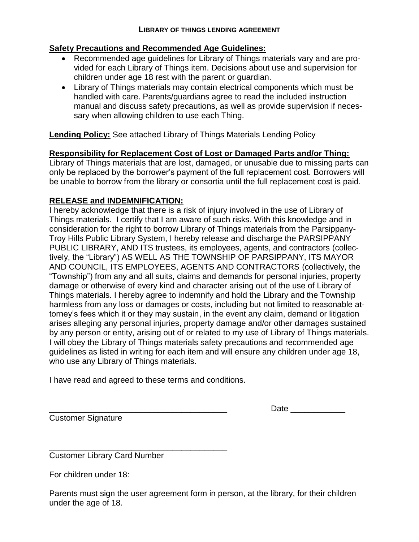# **Safety Precautions and Recommended Age Guidelines:**

- Recommended age guidelines for Library of Things materials vary and are provided for each Library of Things item. Decisions about use and supervision for children under age 18 rest with the parent or guardian.
- Library of Things materials may contain electrical components which must be handled with care. Parents/guardians agree to read the included instruction manual and discuss safety precautions, as well as provide supervision if necessary when allowing children to use each Thing.

**Lending Policy:** See attached Library of Things Materials Lending Policy

# **Responsibility for Replacement Cost of Lost or Damaged Parts and/or Thing:**

Library of Things materials that are lost, damaged, or unusable due to missing parts can only be replaced by the borrower's payment of the full replacement cost. Borrowers will be unable to borrow from the library or consortia until the full replacement cost is paid.

# **RELEASE and INDEMNIFICATION:**

I hereby acknowledge that there is a risk of injury involved in the use of Library of Things materials. I certify that I am aware of such risks. With this knowledge and in consideration for the right to borrow Library of Things materials from the Parsippany-Troy Hills Public Library System, I hereby release and discharge the PARSIPPANY PUBLIC LIBRARY, AND ITS trustees, its employees, agents, and contractors (collectively, the "Library") AS WELL AS THE TOWNSHIP OF PARSIPPANY, ITS MAYOR AND COUNCIL, ITS EMPLOYEES, AGENTS AND CONTRACTORS (collectively, the "Township") from any and all suits, claims and demands for personal injuries, property damage or otherwise of every kind and character arising out of the use of Library of Things materials. I hereby agree to indemnify and hold the Library and the Township harmless from any loss or damages or costs, including but not limited to reasonable attorney's fees which it or they may sustain, in the event any claim, demand or litigation arises alleging any personal injuries, property damage and/or other damages sustained by any person or entity, arising out of or related to my use of Library of Things materials. I will obey the Library of Things materials safety precautions and recommended age guidelines as listed in writing for each item and will ensure any children under age 18, who use any Library of Things materials.

I have read and agreed to these terms and conditions.

Customer Signature

Date  $\Box$ 

\_\_\_\_\_\_\_\_\_\_\_\_\_\_\_\_\_\_\_\_\_\_\_\_\_\_\_\_\_\_\_\_\_\_\_\_\_\_\_ Customer Library Card Number

For children under 18:

Parents must sign the user agreement form in person, at the library, for their children under the age of 18.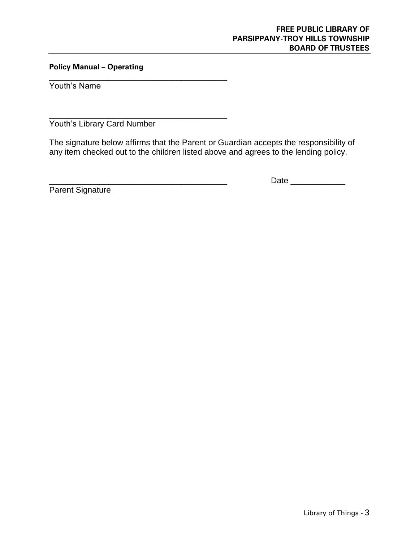### **FREE PUBLIC LIBRARY OF PARSIPPANY-TROY HILLS TOWNSHIP BOARD OF TRUSTEES**

## **Policy Manual – Operating**

\_\_\_\_\_\_\_\_\_\_\_\_\_\_\_\_\_\_\_\_\_\_\_\_\_\_\_\_\_\_\_\_\_\_\_\_\_\_\_

\_\_\_\_\_\_\_\_\_\_\_\_\_\_\_\_\_\_\_\_\_\_\_\_\_\_\_\_\_\_\_\_\_\_\_\_\_\_\_

Youth's Name

Youth's Library Card Number

The signature below affirms that the Parent or Guardian accepts the responsibility of any item checked out to the children listed above and agrees to the lending policy.

Parent Signature

\_\_\_\_\_\_\_\_\_\_\_\_\_\_\_\_\_\_\_\_\_\_\_\_\_\_\_\_\_\_\_\_\_\_\_\_\_\_\_ Date \_\_\_\_\_\_\_\_\_\_\_\_